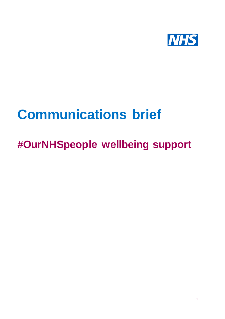

# **Communications brief**

## **#OurNHSpeople wellbeing support**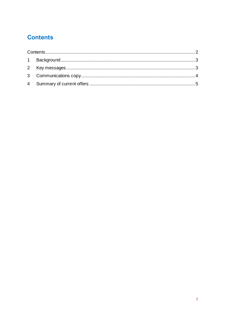## <span id="page-1-0"></span>**Contents**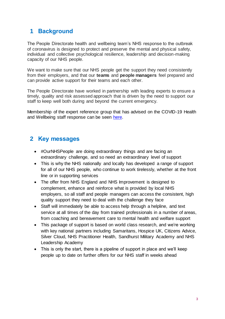## <span id="page-2-0"></span>**1 Background**

The People Directorate health and wellbeing team's NHS response to the outbreak of coronavirus is designed to protect and preserve the mental and physical safety, individual and collective psychological resilience, leadership and decision-making capacity of our NHS people.

We want to make sure that our NHS people get the support they need consistently from their employers, and that our **teams** and **people managers** feel prepared and can provide active support for their teams and each other.

The People Directorate have worked in partnership with leading experts to ensure a timely, quality and risk assessed approach that is driven by the need to support our staff to keep well both during and beyond the current emergency.

Membership of the expert reference group that has advised on the COVID-19 Health and Wellbeing staff response can be seen [here.](https://people.nhs.uk/about/)

### <span id="page-2-1"></span>**2 Key messages**

- #OurNHSPeople are doing extraordinary things and are facing an extraordinary challenge, and so need an extraordinary level of support
- This is why the NHS nationally and locally has developed a range of support for all of our NHS people, who continue to work tirelessly, whether at the front line or in supporting services
- The offer from NHS England and NHS Improvement is designed to complement, enhance and reinforce what is provided by local NHS employers, so all staff and people managers can access the consistent, high quality support they need to deal with the challenge they face
- Staff will immediately be able to access help through a helpline, and text service at all times of the day from trained professionals in a number of areas, from coaching and bereavement care to mental health and welfare support
- This package of support is based on world class research, and we're working with key national partners including Samaritans, Hospice UK, Citizens Advice, Silver Cloud, NHS Practitioner Health, Sandhurst Military Academy and NHS Leadership Academy
- This is only the start, there is a pipeline of support in place and we'll keep people up to date on further offers for our NHS staff in weeks ahead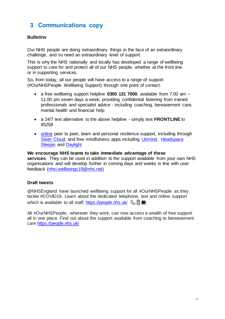## <span id="page-3-0"></span>**3 Communications copy**

#### **Bulletins**

Our NHS people are doing extraordinary things in the face of an extraordinary challenge, and so need an extraordinary level of support.

This is why the NHS nationally and locally has developed a range of wellbeing support to care for and protect all of our NHS people, whether at the front line or in supporting services.

So, from today, all our people will have access to a range of support (#OurNHSPeople Wellbeing Support) through one point of contact:

- a free wellbeing support helpline **0300 131 7000**, available from 7.00 am 11.00 pm seven days a week, providing confidential listening from trained professionals and specialist advice - including coaching, bereavement care, mental health and financial help
- a 24/7 text alternative to the above helpline simply text **FRONTLINE** to 85258
- [online](https://people.nhs.uk/) peer to peer, team and personal resilience support, including through [Silver Cloud,](https://www.silvercloudhealth.com/uk) and free mindfulness apps including [Unmind,](http://nhs.unmind.com/signup) [Headspace](http://www.headspace.com/nhs) [Sleepio](http://sleepio.com/nhs-staff) and [Daylight](http://trydaylight.com/nhs-staff)

**We encourage NHS teams to take immediate advantage of these services**. They can be used in addition to the support available from your own NHS organisations and will develop further in coming days and weeks in line with user feedback [\(nhsi.wellbeingc19@nhs.net\)](mailto:nhsi.wellbeingc19@nhs.net)

#### **Draft tweets**

@NHSEngland have launched wellbeing support for all #OurNHSPeople as they tackle #COVID19. Learn about the dedicated telephone, text and online support which is available to all staff.<https://people.nhs.uk/> 《周■

All #OurNHSPeople, wherever they work, can now access a wealth of free support all in one place. Find out about the support available from coaching to bereavement care <https://people.nhs.uk/>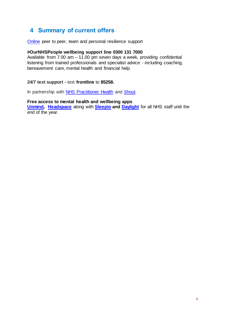## <span id="page-4-0"></span>**4 Summary of current offers**

[Online](https://people.nhs.uk/) peer to peer, team and personal resilience support

#### **#OurNHSPeople wellbeing support line 0300 131 7000**

Available from  $7.00$  am  $-11.00$  pm seven days a week, providing confidential listening from trained professionals and specialist advice - including coaching, bereavement care, mental health and financial help

#### **24/7 text support -** text **frontline** to **85258.**

In partnership with [NHS Practitioner Health](https://www.practitionerhealth.nhs.uk/) and [Shout.](https://www.giveusashout.org/)

**Free access to mental health and wellbeing apps [Unmind,](http://nhs.unmind.com/signup) [Headspace](http://www.headspace.com/nhs)** along with **[Sleepio](http://sleepio.com/nhs-staff) and [Daylight](http://trydaylight.com/nhs-staff)** for all NHS staff until the end of the year.